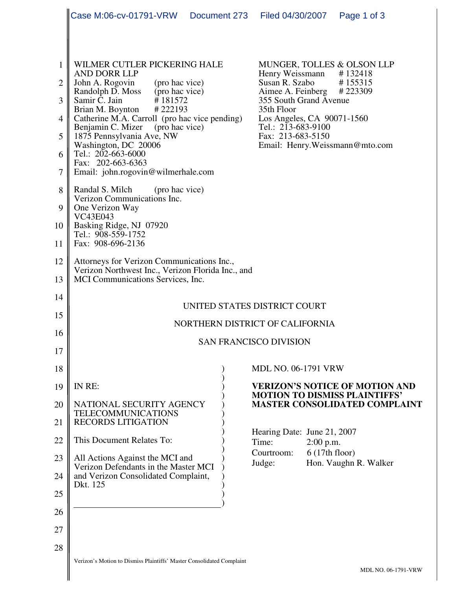|                                 | Case M:06-cv-01791-VRW    Document 273    Filed 04/30/2007                                                                                                                                                                                                                                                                                                                                                        |  |                                                                                                                                                                                 |                              | Page 1 of 3                                                                         |  |
|---------------------------------|-------------------------------------------------------------------------------------------------------------------------------------------------------------------------------------------------------------------------------------------------------------------------------------------------------------------------------------------------------------------------------------------------------------------|--|---------------------------------------------------------------------------------------------------------------------------------------------------------------------------------|------------------------------|-------------------------------------------------------------------------------------|--|
|                                 |                                                                                                                                                                                                                                                                                                                                                                                                                   |  |                                                                                                                                                                                 |                              |                                                                                     |  |
| 1<br>2<br>3<br>4<br>5<br>6<br>7 | WILMER CUTLER PICKERING HALE<br><b>AND DORR LLP</b><br>John A. Rogovin<br>(pro hac vice)<br>Randolph D. Moss (pro hac vice)<br>#181572<br>Samir C. Jain<br>Brian M. Boynton #222193<br>Catherine M.A. Carroll (pro hac vice pending)<br>(pro hac vice)<br>Benjamin C. Mizer<br>1875 Pennsylvania Ave, NW<br>Washington, DC 20006<br>Tel.: 202-663-6000<br>Fax: 202-663-6363<br>Email: john.rogovin@wilmerhale.com |  | Henry Weissmann<br>Susan R. Szabo<br>Aimee A. Feinberg #223309<br>355 South Grand Avenue<br>35th Floor<br>Los Angeles, CA 90071-1560<br>Tel.: 213-683-9100<br>Fax: 213-683-5150 |                              | MUNGER, TOLLES & OLSON LLP<br>#132418<br>#155315<br>Email: Henry. Weissmann@mto.com |  |
| 8<br>9<br>10<br>11              | Randal S. Milch<br>(pro hac vice)<br>Verizon Communications Inc.<br>One Verizon Way<br>VC43E043<br>Basking Ridge, NJ 07920<br>Tel.: 908-559-1752<br>Fax: 908-696-2136                                                                                                                                                                                                                                             |  |                                                                                                                                                                                 |                              |                                                                                     |  |
| 12<br>13                        | Attorneys for Verizon Communications Inc.,<br>Verizon Northwest Inc., Verizon Florida Inc., and<br>MCI Communications Services, Inc.                                                                                                                                                                                                                                                                              |  |                                                                                                                                                                                 |                              |                                                                                     |  |
| 14<br>15                        | UNITED STATES DISTRICT COURT                                                                                                                                                                                                                                                                                                                                                                                      |  |                                                                                                                                                                                 |                              |                                                                                     |  |
| 16                              | NORTHERN DISTRICT OF CALIFORNIA<br><b>SAN FRANCISCO DIVISION</b>                                                                                                                                                                                                                                                                                                                                                  |  |                                                                                                                                                                                 |                              |                                                                                     |  |
| 17                              |                                                                                                                                                                                                                                                                                                                                                                                                                   |  |                                                                                                                                                                                 |                              |                                                                                     |  |
| 18                              | IN RE:                                                                                                                                                                                                                                                                                                                                                                                                            |  | <b>MDL NO. 06-1791 VRW</b>                                                                                                                                                      |                              |                                                                                     |  |
| 19<br>20                        | NATIONAL SECURITY AGENCY<br><b>TELECOMMUNICATIONS</b>                                                                                                                                                                                                                                                                                                                                                             |  | <b>VERIZON'S NOTICE OF MOTION AND</b><br><b>MOTION TO DISMISS PLAINTIFFS'</b><br><b>MASTER CONSOLIDATED COMPLAINT</b>                                                           |                              |                                                                                     |  |
| 21<br>22                        | <b>RECORDS LITIGATION</b><br>This Document Relates To:                                                                                                                                                                                                                                                                                                                                                            |  | Hearing Date: June 21, 2007<br>Time:<br>Courtroom:<br>Judge:                                                                                                                    | $2:00$ p.m.<br>6(17th floor) | Hon. Vaughn R. Walker                                                               |  |
| 23<br>24                        | All Actions Against the MCI and<br>Verizon Defendants in the Master MCI<br>and Verizon Consolidated Complaint,<br>Dkt. 125                                                                                                                                                                                                                                                                                        |  |                                                                                                                                                                                 |                              |                                                                                     |  |
| 25<br>26                        |                                                                                                                                                                                                                                                                                                                                                                                                                   |  |                                                                                                                                                                                 |                              |                                                                                     |  |
| 27                              |                                                                                                                                                                                                                                                                                                                                                                                                                   |  |                                                                                                                                                                                 |                              |                                                                                     |  |
| 28                              |                                                                                                                                                                                                                                                                                                                                                                                                                   |  |                                                                                                                                                                                 |                              |                                                                                     |  |
|                                 | Verizon's Motion to Dismiss Plaintiffs' Master Consolidated Complaint                                                                                                                                                                                                                                                                                                                                             |  |                                                                                                                                                                                 |                              | <b>MDL NO. 06-1791-VRW</b>                                                          |  |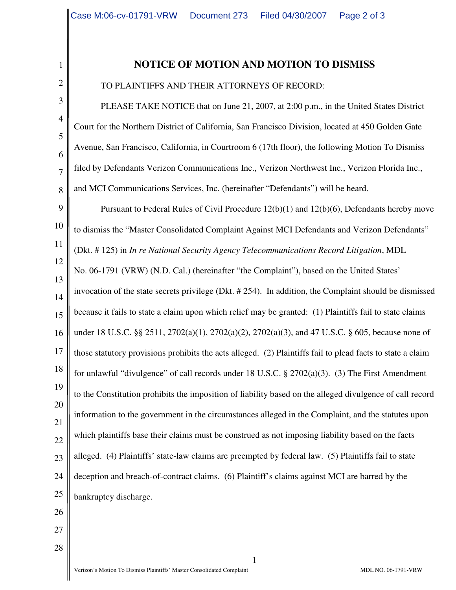## 2 3

4

5

6

7

8

1

## **NOTICE OF MOTION AND MOTION TO DISMISS**

TO PLAINTIFFS AND THEIR ATTORNEYS OF RECORD:

PLEASE TAKE NOTICE that on June 21, 2007, at 2:00 p.m., in the United States District Court for the Northern District of California, San Francisco Division, located at 450 Golden Gate Avenue, San Francisco, California, in Courtroom 6 (17th floor), the following Motion To Dismiss filed by Defendants Verizon Communications Inc., Verizon Northwest Inc., Verizon Florida Inc., and MCI Communications Services, Inc. (hereinafter "Defendants") will be heard.

9 10 11 12 13 14 15 16 17 18 19 20 21 22 23 24 25 Pursuant to Federal Rules of Civil Procedure 12(b)(1) and 12(b)(6), Defendants hereby move to dismiss the "Master Consolidated Complaint Against MCI Defendants and Verizon Defendants" (Dkt. # 125) in *In re National Security Agency Telecommunications Record Litigation*, MDL No. 06-1791 (VRW) (N.D. Cal.) (hereinafter "the Complaint"), based on the United States' invocation of the state secrets privilege (Dkt. # 254). In addition, the Complaint should be dismissed because it fails to state a claim upon which relief may be granted: (1) Plaintiffs fail to state claims under 18 U.S.C. §§ 2511, 2702(a)(1), 2702(a)(2), 2702(a)(3), and 47 U.S.C. § 605, because none of those statutory provisions prohibits the acts alleged. (2) Plaintiffs fail to plead facts to state a claim for unlawful "divulgence" of call records under 18 U.S.C. § 2702(a)(3). (3) The First Amendment to the Constitution prohibits the imposition of liability based on the alleged divulgence of call record information to the government in the circumstances alleged in the Complaint, and the statutes upon which plaintiffs base their claims must be construed as not imposing liability based on the facts alleged. (4) Plaintiffs' state-law claims are preempted by federal law. (5) Plaintiffs fail to state deception and breach-of-contract claims. (6) Plaintiff's claims against MCI are barred by the bankruptcy discharge.

1

- 26
- 27 28